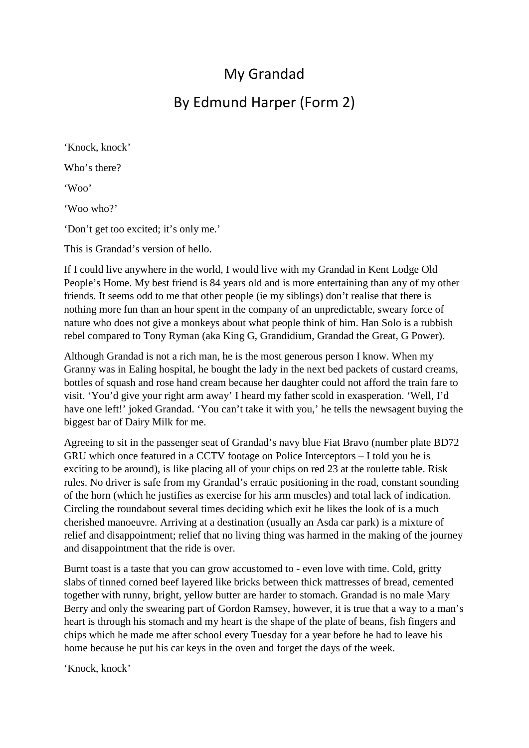## My Grandad

## By Edmund Harper (Form 2)

'Knock, knock' Who's there? 'Woo' 'Woo who?' 'Don't get too excited; it's only me.'

This is Grandad's version of hello.

If I could live anywhere in the world, I would live with my Grandad in Kent Lodge Old People's Home. My best friend is 84 years old and is more entertaining than any of my other friends. It seems odd to me that other people (ie my siblings) don't realise that there is nothing more fun than an hour spent in the company of an unpredictable, sweary force of nature who does not give a monkeys about what people think of him. Han Solo is a rubbish rebel compared to Tony Ryman (aka King G, Grandidium, Grandad the Great, G Power).

Although Grandad is not a rich man, he is the most generous person I know. When my Granny was in Ealing hospital, he bought the lady in the next bed packets of custard creams, bottles of squash and rose hand cream because her daughter could not afford the train fare to visit. 'You'd give your right arm away' I heard my father scold in exasperation. 'Well, I'd have one left!' joked Grandad. 'You can't take it with you,' he tells the newsagent buying the biggest bar of Dairy Milk for me.

Agreeing to sit in the passenger seat of Grandad's navy blue Fiat Bravo (number plate BD72 GRU which once featured in a CCTV footage on Police Interceptors – I told you he is exciting to be around), is like placing all of your chips on red 23 at the roulette table. Risk rules. No driver is safe from my Grandad's erratic positioning in the road, constant sounding of the horn (which he justifies as exercise for his arm muscles) and total lack of indication. Circling the roundabout several times deciding which exit he likes the look of is a much cherished manoeuvre. Arriving at a destination (usually an Asda car park) is a mixture of relief and disappointment; relief that no living thing was harmed in the making of the journey and disappointment that the ride is over.

Burnt toast is a taste that you can grow accustomed to - even love with time. Cold, gritty slabs of tinned corned beef layered like bricks between thick mattresses of bread, cemented together with runny, bright, yellow butter are harder to stomach. Grandad is no male Mary Berry and only the swearing part of Gordon Ramsey, however, it is true that a way to a man's heart is through his stomach and my heart is the shape of the plate of beans, fish fingers and chips which he made me after school every Tuesday for a year before he had to leave his home because he put his car keys in the oven and forget the days of the week.

'Knock, knock'